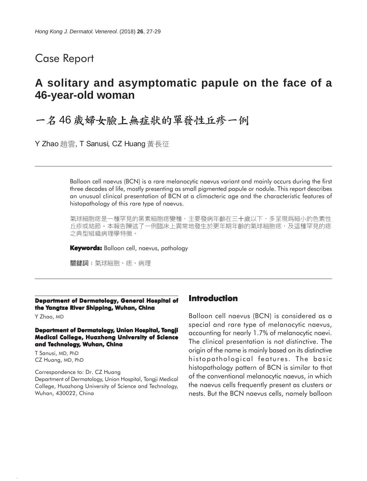## Case Report

## **A solitary and asymptomatic papule on the face of a 46-year-old woman**

# 一名46歲婦女臉上無症狀的單發性丘疹一例

Y Zhao 趙雲, T Sanusi, CZ Huang 黃長征

Balloon cell naevus (BCN) is a rare melanocytic naevus variant and mainly occurs during the first three decades of life, mostly presenting as small pigmented papule or nodule. This report describes an unusual clinical presentation of BCN at a climacteric age and the characteristic features of histopathology of this rare type of naevus.

氣球細胞痣是一種罕見的黑素細胞痣變種,主要發病年齡在三十歲以下,多呈現爲細小的色素性 丘疹或結節。本報告陳述了一例臨床上異常地發生於更年期年齡的氣球細胞痣,及這種罕見的痣 之典型組織病理學特徵。

**Keywords:** Balloon cell, naevus, pathology

關鍵詞:氣球細胞、痣、病理

#### **Department of Dermatology, General Hospital of the Yangtze River Shipping, Wuhan, China**

Y Zhao, MD

#### **Department of Dermatology, Union Hospital, Tongji Medical College, Huazhong University of Science and Technology, Wuhan, China**

T Sanusi, MD, PhD CZ Huang, MD, PhD

Correspondence to: Dr. CZ Huang Department of Dermatology, Union Hospital, Tongji Medical College, Huazhong University of Science and Technology, Wuhan, 430022, China

## **Introduction**

Balloon cell naevus (BCN) is considered as a special and rare type of melanocytic naevus, accounting for nearly 1.7% of melanocytic naevi. The clinical presentation is not distinctive. The origin of the name is mainly based on its distinctive histopathological features. The basic histopathology pattern of BCN is similar to that of the conventional melanocytic naevus, in which the naevus cells frequently present as clusters or nests. But the BCN naevus cells, namely balloon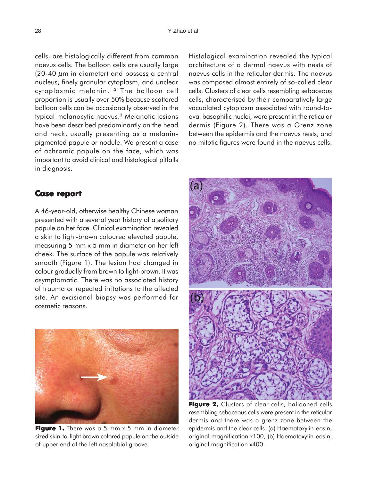cells, are histologically different from common naevus cells. The balloon cells are usually large (20-40  $\mu$ m in diameter) and possess a central nucleus, finely granular cytoplasm, and unclear cytoplasmic melanin. 1,2 The balloon cell proportion is usually over 50% because scattered balloon cells can be occasionally observed in the typical melanocytic naevus.3 Melanotic lesions have been described predominantly on the head and neck, usually presenting as a melaninpigmented papule or nodule. We present a case of achromic papule on the face, which was important to avoid clinical and histological pitfalls in diagnosis.

### **Case report report**

A 46-year-old, otherwise healthy Chinese woman presented with a several year history of a solitary papule on her face. Clinical examination revealed a skin to light-brown coloured elevated papule, measuring 5 mm x 5 mm in diameter on her left cheek. The surface of the papule was relatively smooth (Figure 1). The lesion had changed in colour gradually from brown to light-brown. It was asymptomatic. There was no associated history of trauma or repeated irritations to the affected site. An excisional biopsy was performed for cosmetic reasons.



**Figure 1.** There was a 5 mm x 5 mm in diameter sized skin-to-light brown colored papule on the outside of upper end of the left nasolabial groove.

Histological examination revealed the typical architecture of a dermal naevus with nests of naevus cells in the reticular dermis. The naevus was composed almost entirely of so-called clear cells. Clusters of clear cells resembling sebaceous cells, characterised by their comparatively large vacuolated cytoplasm associated with round-tooval basophilic nuclei, were present in the reticular dermis (Figure 2). There was a Grenz zone between the epidermis and the naevus nests, and no mitotic figures were found in the naevus cells.



**Figure 2. Figure 2.** Clusters of clear cells, ballooned cells resembling sebaceous cells were present in the reticular dermis and there was a grenz zone between the epidermis and the clear cells. (a) Haematoxylin-eosin, original magnification x100; (b) Haematoxylin-eosin, original magnification x400.